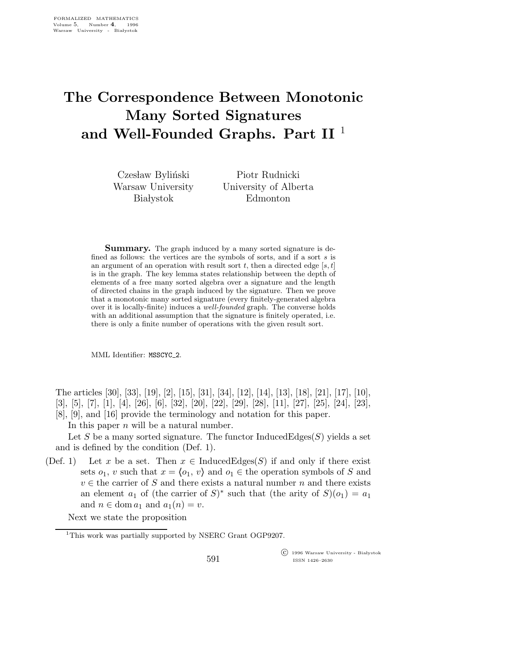## The Correspondence Between Monotonic Many Sorted Signatures and Well-Founded Graphs. Part II  $^1$

Czesław Byliński Warsaw University **Bia** lystok

Piotr Rudnicki University of Alberta Edmonton

**Summary.** The graph induced by a many sorted signature is defined as follows: the vertices are the symbols of sorts, and if a sort s is an argument of an operation with result sort t, then a directed edge [s, t] is in the graph. The key lemma states relationship between the depth of elements of a free many sorted algebra over a signature and the length of directed chains in the graph induced by the signature. Then we prove that a monotonic many sorted signature (every finitely-generated algebra over it is locally-finite) induces a well-founded graph. The converse holds with an additional assumption that the signature is finitely operated, i.e. there is only a finite number of operations with the given result sort.

MML Identifier: MSSCYC 2.

The articles [30], [33], [19], [2], [15], [31], [34], [12], [14], [13], [18], [21], [17], [10], [3], [5], [7], [1], [4], [26], [6], [32], [20], [22], [29], [28], [11], [27], [25], [24], [23], [8], [9], and [16] provide the terminology and notation for this paper.

In this paper  $n$  will be a natural number.

Let S be a many sorted signature. The functor InducedEdges $(S)$  yields a set and is defined by the condition (Def. 1).

(Def. 1) Let x be a set. Then  $x \in \text{InducedEdges}(S)$  if and only if there exist sets  $o_1$ , v such that  $x = \langle o_1, v \rangle$  and  $o_1 \in$  the operation symbols of S and  $v \in$  the carrier of S and there exists a natural number n and there exists an element  $a_1$  of (the carrier of  $S^*$ ) such that (the arity of  $S^*(o_1) = a_1$ ) and  $n \in \text{dom } a_1$  and  $a_1(n) = v$ .

Next we state the proposition

 $\overline{\text{C}}$  1996 Warsaw University - Białystok ISSN 1426–2630

<sup>&</sup>lt;sup>1</sup>This work was partially supported by NSERC Grant OGP9207.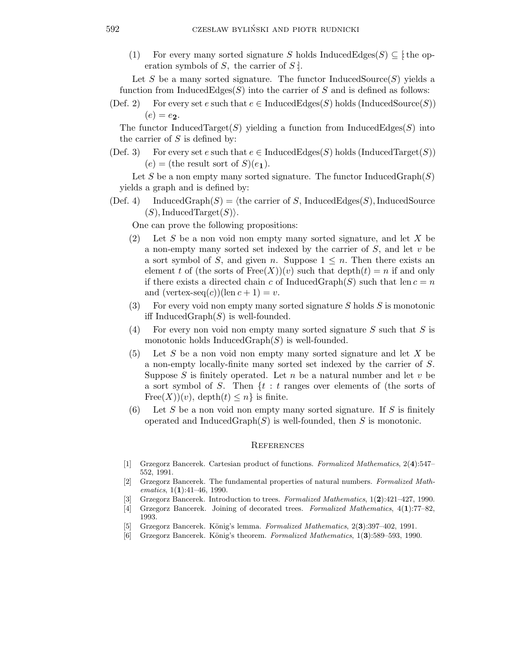(1) For every many sorted signature S holds InducedEdges(S)  $\subseteq$  [: the operation symbols of  $S$ , the carrier of  $S$ !

Let S be a many sorted signature. The functor InducedSource $(S)$  yields a function from InducedEdges $(S)$  into the carrier of S and is defined as follows:

(Def. 2) For every set e such that  $e \in \text{InducedEdges}(S)$  holds (InducedSource(S))  $(e) = e_2.$ 

The functor InducedTarget(S) yielding a function from InducedEdges(S) into the carrier of  $S$  is defined by:

(Def. 3) For every set e such that  $e \in \text{InducedEdges}(S)$  holds (InducedTarget(S))  $(e) =$  (the result sort of  $S(e_1)$ ).

Let S be a non empty many sorted signature. The functor InducedGraph $(S)$ yields a graph and is defined by:

(Def. 4) InducedGraph(S) =  $\langle$  the carrier of S, InducedEdges(S), InducedSource  $(S)$ , InducedTarget $(S)$ ).

One can prove the following propositions:

- $(2)$  Let S be a non void non empty many sorted signature, and let X be a non-empty many sorted set indexed by the carrier of  $S$ , and let  $v$  be a sort symbol of S, and given n. Suppose  $1 \leq n$ . Then there exists an element t of (the sorts of  $Free(X)(v)$  such that  $depth(t) = n$  if and only if there exists a directed chain c of InducedGraph(S) such that len  $c = n$ and  $(\text{vertex-seq}(c))(\text{len } c + 1) = v.$
- (3) For every void non empty many sorted signature  $S$  holds  $S$  is monotonic iff Induced $Graph(S)$  is well-founded.
- (4) For every non void non empty many sorted signature  $S$  such that  $S$  is monotonic holds  $InducedGraph(S)$  is well-founded.
- $(5)$  Let S be a non void non empty many sorted signature and let X be a non-empty locally-finite many sorted set indexed by the carrier of S. Suppose S is finitely operated. Let n be a natural number and let  $v$  be a sort symbol of  $S$ . Then  $\{t : t \text{ ranges over elements of (the sorts of})\}$ Free $(X)(v)$ , depth $(t) \leq n$  is finite.
- (6) Let S be a non void non empty many sorted signature. If S is finitely operated and Induced $Graph(S)$  is well-founded, then S is monotonic.

## **REFERENCES**

- [1] Grzegorz Bancerek. Cartesian product of functions. Formalized Mathematics, 2(4):547– 552, 1991.
- [2] Grzegorz Bancerek. The fundamental properties of natural numbers. Formalized Mathematics,  $1(1):41-46$ , 1990.
- [3] Grzegorz Bancerek. Introduction to trees. Formalized Mathematics, 1(2):421–427, 1990.
- [4] Grzegorz Bancerek. Joining of decorated trees. Formalized Mathematics, 4(1):77–82, 1993.
- [5] Grzegorz Bancerek. König's lemma. Formalized Mathematics,  $2(3):397-402$ , 1991.
- [6] Grzegorz Bancerek. König's theorem. Formalized Mathematics, 1(3):589–593, 1990.